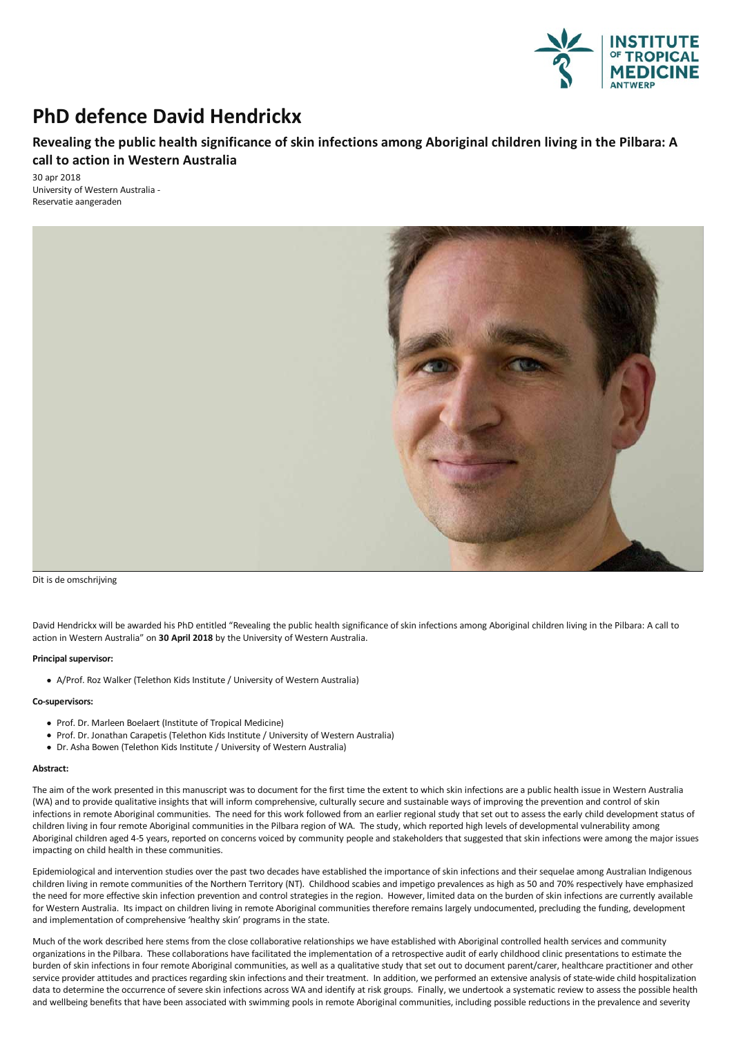

# **PhD defence David Hendrickx**

## **Revealingthe public health significance of skin infections among Aboriginal children livingin the Pilbara: A call to action in Western Australia**

30 apr 2018 University of Western Australia-Reservatie aangeraden



Dit is de omschrijving

David Hendrickx will be awarded his PhD entitled "Revealing the public health significance of skin infections among Aboriginal children living in the Pilbara: A call to action in Western Australia" on **30 April 2018** by the University of Western Australia.

### **Principal supervisor:**

A/Prof. Roz Walker (Telethon Kids Institute / University of Western Australia)

#### **Co-supervisors:**

- Prof. Dr. Marleen Boelaert (Institute of Tropical Medicine)
- Prof. Dr. Jonathan Carapetis (Telethon Kids Institute / University of Western Australia)
- Dr. Asha Bowen (Telethon Kids Institute / University of Western Australia)

#### **Abstract:**

The aim of the work presented in this manuscript was to document for the first time the extent to which skin infections are a public health issue in Western Australia (WA)and to provide qualitative insights that will inform comprehensive, culturally secure and sustainable ways of improving the prevention and control of skin infections in remote Aboriginal communities. The need for this work followed from an earlier regional study that set out to assess the early child development status of children living in four remote Aboriginal communities in the Pilbara region of WA. The study, which reported high levels of developmental vulnerability among Aboriginal children aged 4-5 years, reported on concerns voiced by community people and stakeholders that suggested that skin infections were among the major issues impacting on child health in these communities.

Epidemiological and intervention studies over the past two decades have established the importance of skin infections and their sequelae among Australian Indigenous children living in remote communities of the Northern Territory (NT). Childhood scabies and impetigo prevalences as high as 50 and 70% respectively have emphasized the need for more effective skin infection prevention and control strategies in the region. However, limited data on the burden of skin infections are currently available for Western Australia. Its impact on children living in remote Aboriginal communities therefore remains largely undocumented, precluding the funding, development and implementation of comprehensive 'healthy skin' programs in the state.

Much of the work described here stems from the close collaborative relationships we have established with Aboriginal controlled health services and community organizations in the Pilbara. These collaborations have facilitated the implementation ofaretrospective audit of early childhood clinic presentations to estimate the burden of skin infections in four remote Aboriginal communities, as well as a qualitative study that set out to document parent/carer, healthcare practitioner and other service provider attitudes and practices regarding skin infections and their treatment. In addition, we performed an extensive analysis of state-wide child hospitalization data to determine the occurrence of severe skin infections across WA and identify at risk groups. Finally, we undertook a systematic review to assess the possible health and wellbeing benefits that have been associated with swimming pools in remote Aboriginal communities, including possible reductions in the prevalence and severity